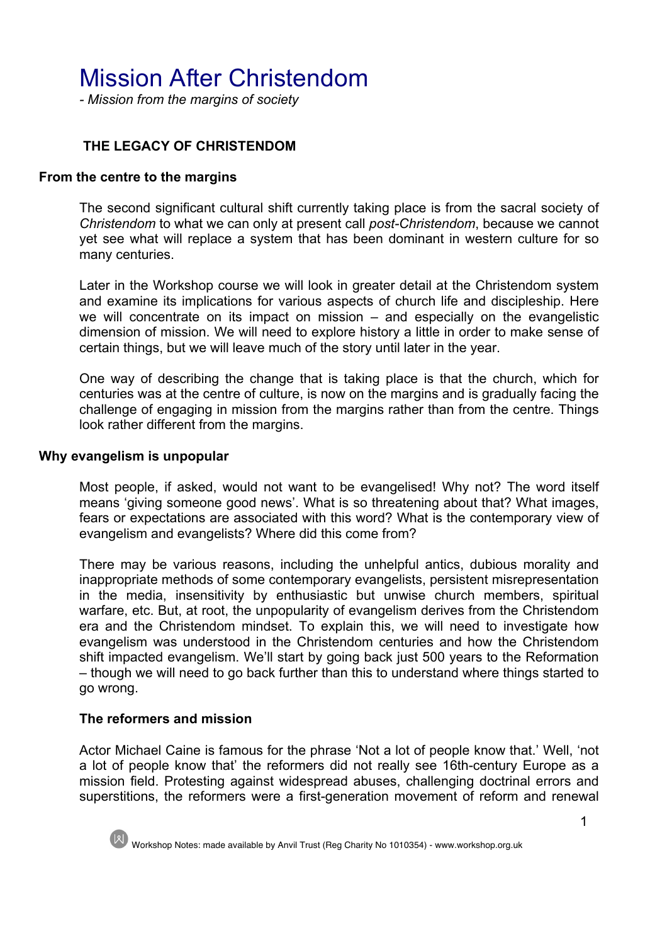# Mission After Christendom

*- Mission from the margins of society*

# **THE LEGACY OF CHRISTENDOM**

#### **From the centre to the margins**

The second significant cultural shift currently taking place is from the sacral society of *Christendom* to what we can only at present call *post-Christendom*, because we cannot yet see what will replace a system that has been dominant in western culture for so many centuries.

Later in the Workshop course we will look in greater detail at the Christendom system and examine its implications for various aspects of church life and discipleship. Here we will concentrate on its impact on mission – and especially on the evangelistic dimension of mission. We will need to explore history a little in order to make sense of certain things, but we will leave much of the story until later in the year.

One way of describing the change that is taking place is that the church, which for centuries was at the centre of culture, is now on the margins and is gradually facing the challenge of engaging in mission from the margins rather than from the centre. Things look rather different from the margins.

#### **Why evangelism is unpopular**

Most people, if asked, would not want to be evangelised! Why not? The word itself means 'giving someone good news'. What is so threatening about that? What images, fears or expectations are associated with this word? What is the contemporary view of evangelism and evangelists? Where did this come from?

There may be various reasons, including the unhelpful antics, dubious morality and inappropriate methods of some contemporary evangelists, persistent misrepresentation in the media, insensitivity by enthusiastic but unwise church members, spiritual warfare, etc. But, at root, the unpopularity of evangelism derives from the Christendom era and the Christendom mindset. To explain this, we will need to investigate how evangelism was understood in the Christendom centuries and how the Christendom shift impacted evangelism. We'll start by going back just 500 years to the Reformation – though we will need to go back further than this to understand where things started to go wrong.

## **The reformers and mission**

Actor Michael Caine is famous for the phrase 'Not a lot of people know that.' Well, 'not a lot of people know that' the reformers did not really see 16th-century Europe as a mission field. Protesting against widespread abuses, challenging doctrinal errors and superstitions, the reformers were a first-generation movement of reform and renewal

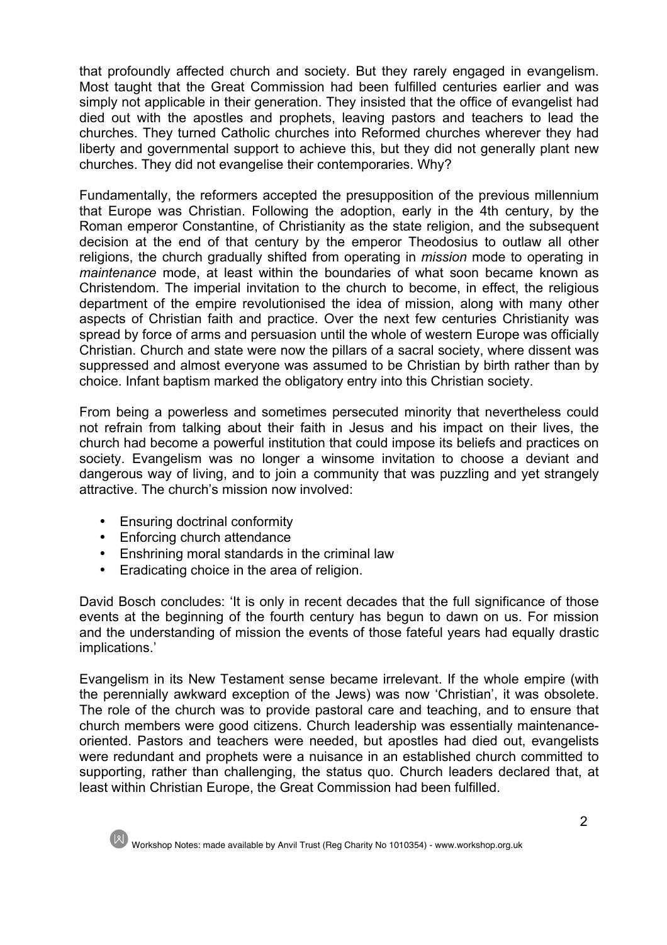that profoundly affected church and society. But they rarely engaged in evangelism. Most taught that the Great Commission had been fulfilled centuries earlier and was simply not applicable in their generation. They insisted that the office of evangelist had died out with the apostles and prophets, leaving pastors and teachers to lead the churches. They turned Catholic churches into Reformed churches wherever they had liberty and governmental support to achieve this, but they did not generally plant new churches. They did not evangelise their contemporaries. Why?

Fundamentally, the reformers accepted the presupposition of the previous millennium that Europe was Christian. Following the adoption, early in the 4th century, by the Roman emperor Constantine, of Christianity as the state religion, and the subsequent decision at the end of that century by the emperor Theodosius to outlaw all other religions, the church gradually shifted from operating in *mission* mode to operating in *maintenance* mode, at least within the boundaries of what soon became known as Christendom. The imperial invitation to the church to become, in effect, the religious department of the empire revolutionised the idea of mission, along with many other aspects of Christian faith and practice. Over the next few centuries Christianity was spread by force of arms and persuasion until the whole of western Europe was officially Christian. Church and state were now the pillars of a sacral society, where dissent was suppressed and almost everyone was assumed to be Christian by birth rather than by choice. Infant baptism marked the obligatory entry into this Christian society.

From being a powerless and sometimes persecuted minority that nevertheless could not refrain from talking about their faith in Jesus and his impact on their lives, the church had become a powerful institution that could impose its beliefs and practices on society. Evangelism was no longer a winsome invitation to choose a deviant and dangerous way of living, and to join a community that was puzzling and yet strangely attractive. The church's mission now involved:

- Ensuring doctrinal conformity
- Enforcing church attendance
- Enshrining moral standards in the criminal law
- Eradicating choice in the area of religion.

David Bosch concludes: 'It is only in recent decades that the full significance of those events at the beginning of the fourth century has begun to dawn on us. For mission and the understanding of mission the events of those fateful years had equally drastic implications.'

Evangelism in its New Testament sense became irrelevant. If the whole empire (with the perennially awkward exception of the Jews) was now 'Christian', it was obsolete. The role of the church was to provide pastoral care and teaching, and to ensure that church members were good citizens. Church leadership was essentially maintenanceoriented. Pastors and teachers were needed, but apostles had died out, evangelists were redundant and prophets were a nuisance in an established church committed to supporting, rather than challenging, the status quo. Church leaders declared that, at least within Christian Europe, the Great Commission had been fulfilled.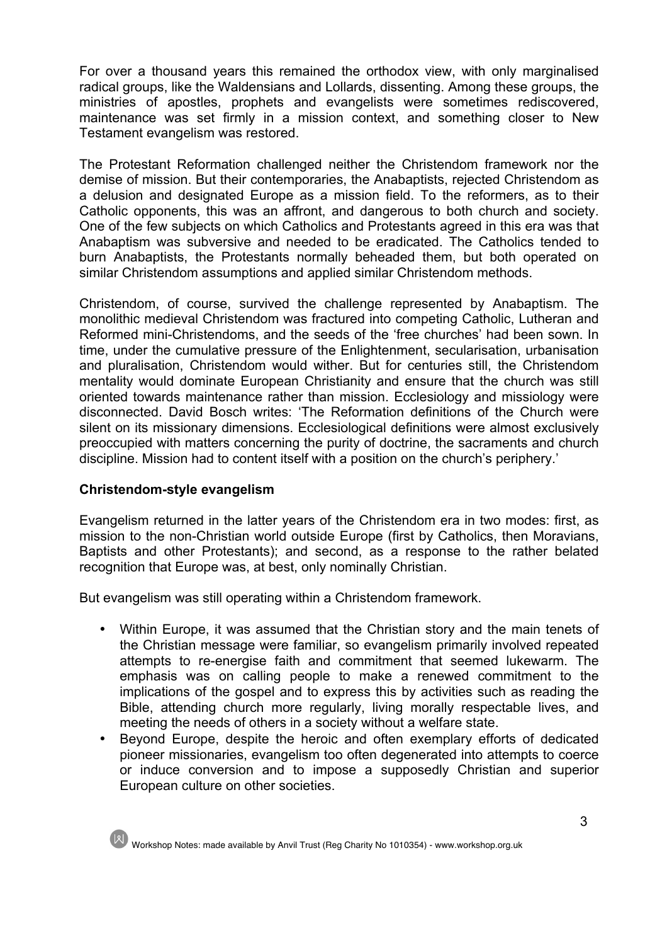For over a thousand years this remained the orthodox view, with only marginalised radical groups, like the Waldensians and Lollards, dissenting. Among these groups, the ministries of apostles, prophets and evangelists were sometimes rediscovered, maintenance was set firmly in a mission context, and something closer to New Testament evangelism was restored.

The Protestant Reformation challenged neither the Christendom framework nor the demise of mission. But their contemporaries, the Anabaptists, rejected Christendom as a delusion and designated Europe as a mission field. To the reformers, as to their Catholic opponents, this was an affront, and dangerous to both church and society. One of the few subjects on which Catholics and Protestants agreed in this era was that Anabaptism was subversive and needed to be eradicated. The Catholics tended to burn Anabaptists, the Protestants normally beheaded them, but both operated on similar Christendom assumptions and applied similar Christendom methods.

Christendom, of course, survived the challenge represented by Anabaptism. The monolithic medieval Christendom was fractured into competing Catholic, Lutheran and Reformed mini-Christendoms, and the seeds of the 'free churches' had been sown. In time, under the cumulative pressure of the Enlightenment, secularisation, urbanisation and pluralisation, Christendom would wither. But for centuries still, the Christendom mentality would dominate European Christianity and ensure that the church was still oriented towards maintenance rather than mission. Ecclesiology and missiology were disconnected. David Bosch writes: 'The Reformation definitions of the Church were silent on its missionary dimensions. Ecclesiological definitions were almost exclusively preoccupied with matters concerning the purity of doctrine, the sacraments and church discipline. Mission had to content itself with a position on the church's periphery.'

## **Christendom-style evangelism**

Evangelism returned in the latter years of the Christendom era in two modes: first, as mission to the non-Christian world outside Europe (first by Catholics, then Moravians, Baptists and other Protestants); and second, as a response to the rather belated recognition that Europe was, at best, only nominally Christian.

But evangelism was still operating within a Christendom framework.

- Within Europe, it was assumed that the Christian story and the main tenets of the Christian message were familiar, so evangelism primarily involved repeated attempts to re-energise faith and commitment that seemed lukewarm. The emphasis was on calling people to make a renewed commitment to the implications of the gospel and to express this by activities such as reading the Bible, attending church more regularly, living morally respectable lives, and meeting the needs of others in a society without a welfare state.
- Beyond Europe, despite the heroic and often exemplary efforts of dedicated pioneer missionaries, evangelism too often degenerated into attempts to coerce or induce conversion and to impose a supposedly Christian and superior European culture on other societies.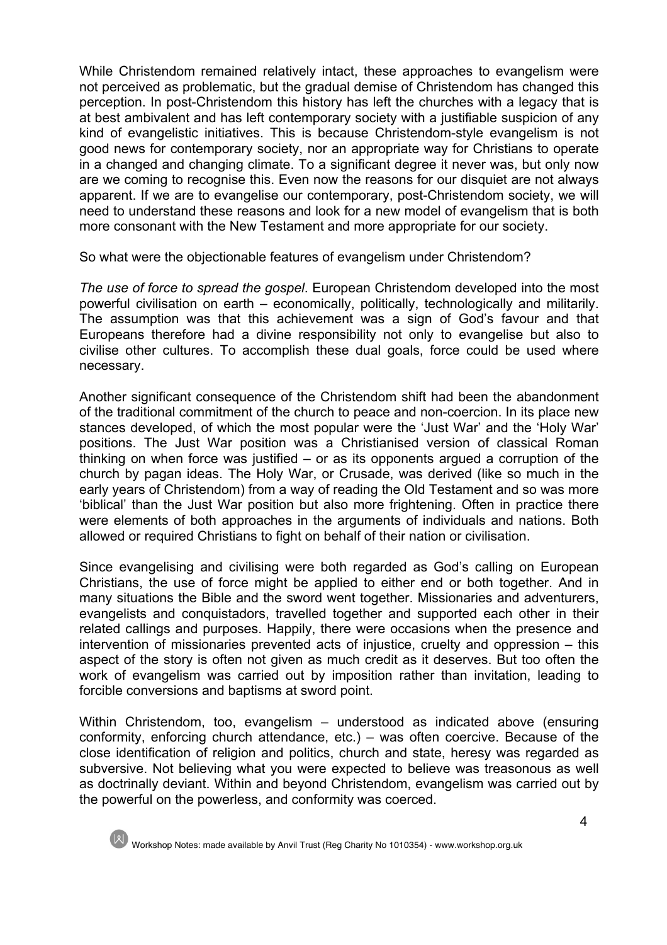While Christendom remained relatively intact, these approaches to evangelism were not perceived as problematic, but the gradual demise of Christendom has changed this perception. In post-Christendom this history has left the churches with a legacy that is at best ambivalent and has left contemporary society with a justifiable suspicion of any kind of evangelistic initiatives. This is because Christendom-style evangelism is not good news for contemporary society, nor an appropriate way for Christians to operate in a changed and changing climate. To a significant degree it never was, but only now are we coming to recognise this. Even now the reasons for our disquiet are not always apparent. If we are to evangelise our contemporary, post-Christendom society, we will need to understand these reasons and look for a new model of evangelism that is both more consonant with the New Testament and more appropriate for our society.

So what were the objectionable features of evangelism under Christendom?

*The use of force to spread the gospel*. European Christendom developed into the most powerful civilisation on earth – economically, politically, technologically and militarily. The assumption was that this achievement was a sign of God's favour and that Europeans therefore had a divine responsibility not only to evangelise but also to civilise other cultures. To accomplish these dual goals, force could be used where necessary.

Another significant consequence of the Christendom shift had been the abandonment of the traditional commitment of the church to peace and non-coercion. In its place new stances developed, of which the most popular were the 'Just War' and the 'Holy War' positions. The Just War position was a Christianised version of classical Roman thinking on when force was justified – or as its opponents argued a corruption of the church by pagan ideas. The Holy War, or Crusade, was derived (like so much in the early years of Christendom) from a way of reading the Old Testament and so was more 'biblical' than the Just War position but also more frightening. Often in practice there were elements of both approaches in the arguments of individuals and nations. Both allowed or required Christians to fight on behalf of their nation or civilisation.

Since evangelising and civilising were both regarded as God's calling on European Christians, the use of force might be applied to either end or both together. And in many situations the Bible and the sword went together. Missionaries and adventurers, evangelists and conquistadors, travelled together and supported each other in their related callings and purposes. Happily, there were occasions when the presence and intervention of missionaries prevented acts of injustice, cruelty and oppression – this aspect of the story is often not given as much credit as it deserves. But too often the work of evangelism was carried out by imposition rather than invitation, leading to forcible conversions and baptisms at sword point.

Within Christendom, too, evangelism – understood as indicated above (ensuring conformity, enforcing church attendance, etc.) – was often coercive. Because of the close identification of religion and politics, church and state, heresy was regarded as subversive. Not believing what you were expected to believe was treasonous as well as doctrinally deviant. Within and beyond Christendom, evangelism was carried out by the powerful on the powerless, and conformity was coerced.

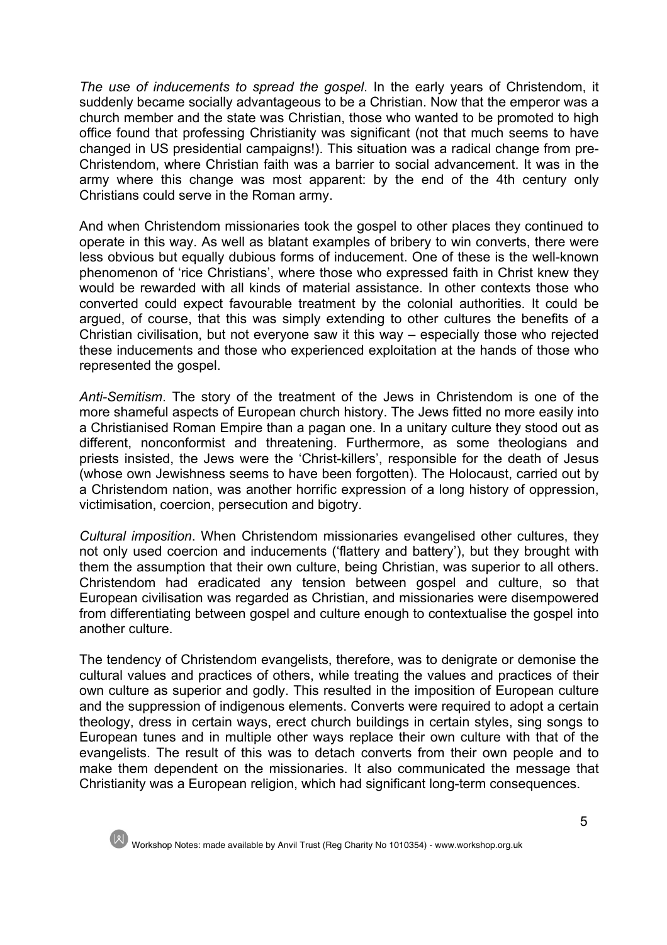*The use of inducements to spread the gospel*. In the early years of Christendom, it suddenly became socially advantageous to be a Christian. Now that the emperor was a church member and the state was Christian, those who wanted to be promoted to high office found that professing Christianity was significant (not that much seems to have changed in US presidential campaigns!). This situation was a radical change from pre-Christendom, where Christian faith was a barrier to social advancement. It was in the army where this change was most apparent: by the end of the 4th century only Christians could serve in the Roman army.

And when Christendom missionaries took the gospel to other places they continued to operate in this way. As well as blatant examples of bribery to win converts, there were less obvious but equally dubious forms of inducement. One of these is the well-known phenomenon of 'rice Christians', where those who expressed faith in Christ knew they would be rewarded with all kinds of material assistance. In other contexts those who converted could expect favourable treatment by the colonial authorities. It could be argued, of course, that this was simply extending to other cultures the benefits of a Christian civilisation, but not everyone saw it this way – especially those who rejected these inducements and those who experienced exploitation at the hands of those who represented the gospel.

*Anti-Semitism*. The story of the treatment of the Jews in Christendom is one of the more shameful aspects of European church history. The Jews fitted no more easily into a Christianised Roman Empire than a pagan one. In a unitary culture they stood out as different, nonconformist and threatening. Furthermore, as some theologians and priests insisted, the Jews were the 'Christ-killers', responsible for the death of Jesus (whose own Jewishness seems to have been forgotten). The Holocaust, carried out by a Christendom nation, was another horrific expression of a long history of oppression, victimisation, coercion, persecution and bigotry.

*Cultural imposition*. When Christendom missionaries evangelised other cultures, they not only used coercion and inducements ('flattery and battery'), but they brought with them the assumption that their own culture, being Christian, was superior to all others. Christendom had eradicated any tension between gospel and culture, so that European civilisation was regarded as Christian, and missionaries were disempowered from differentiating between gospel and culture enough to contextualise the gospel into another culture.

The tendency of Christendom evangelists, therefore, was to denigrate or demonise the cultural values and practices of others, while treating the values and practices of their own culture as superior and godly. This resulted in the imposition of European culture and the suppression of indigenous elements. Converts were required to adopt a certain theology, dress in certain ways, erect church buildings in certain styles, sing songs to European tunes and in multiple other ways replace their own culture with that of the evangelists. The result of this was to detach converts from their own people and to make them dependent on the missionaries. It also communicated the message that Christianity was a European religion, which had significant long-term consequences.

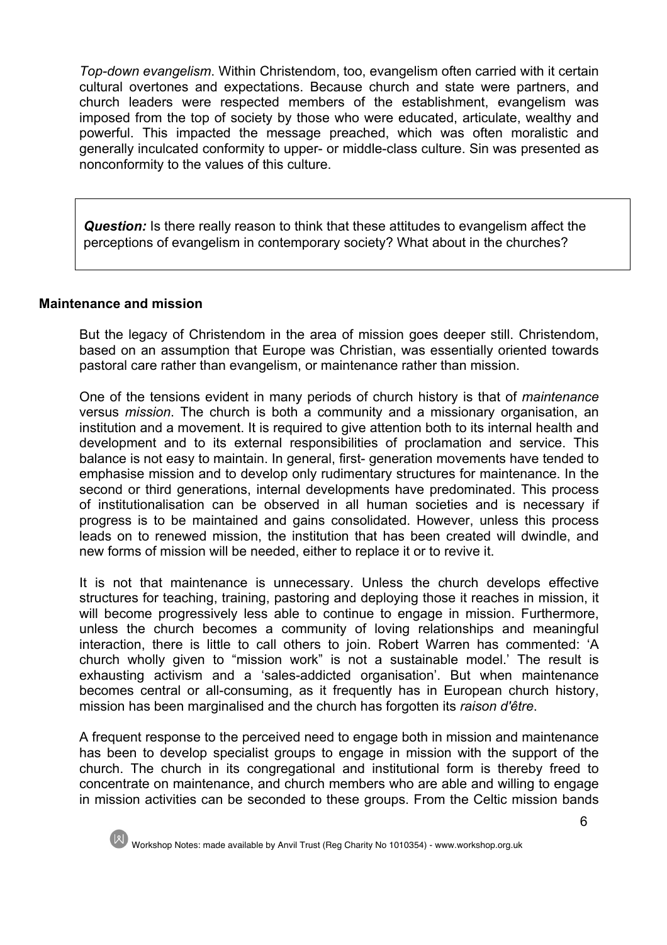*Top-down evangelism*. Within Christendom, too, evangelism often carried with it certain cultural overtones and expectations. Because church and state were partners, and church leaders were respected members of the establishment, evangelism was imposed from the top of society by those who were educated, articulate, wealthy and powerful. This impacted the message preached, which was often moralistic and generally inculcated conformity to upper- or middle-class culture. Sin was presented as nonconformity to the values of this culture.

**Question:** Is there really reason to think that these attitudes to evangelism affect the perceptions of evangelism in contemporary society? What about in the churches?

#### **Maintenance and mission**

But the legacy of Christendom in the area of mission goes deeper still. Christendom, based on an assumption that Europe was Christian, was essentially oriented towards pastoral care rather than evangelism, or maintenance rather than mission.

One of the tensions evident in many periods of church history is that of *maintenance* versus *mission*. The church is both a community and a missionary organisation, an institution and a movement. It is required to give attention both to its internal health and development and to its external responsibilities of proclamation and service. This balance is not easy to maintain. In general, first- generation movements have tended to emphasise mission and to develop only rudimentary structures for maintenance. In the second or third generations, internal developments have predominated. This process of institutionalisation can be observed in all human societies and is necessary if progress is to be maintained and gains consolidated. However, unless this process leads on to renewed mission, the institution that has been created will dwindle, and new forms of mission will be needed, either to replace it or to revive it.

It is not that maintenance is unnecessary. Unless the church develops effective structures for teaching, training, pastoring and deploying those it reaches in mission, it will become progressively less able to continue to engage in mission. Furthermore, unless the church becomes a community of loving relationships and meaningful interaction, there is little to call others to join. Robert Warren has commented: 'A church wholly given to "mission work" is not a sustainable model.' The result is exhausting activism and a 'sales-addicted organisation'. But when maintenance becomes central or all-consuming, as it frequently has in European church history, mission has been marginalised and the church has forgotten its *raison d'être*.

A frequent response to the perceived need to engage both in mission and maintenance has been to develop specialist groups to engage in mission with the support of the church. The church in its congregational and institutional form is thereby freed to concentrate on maintenance, and church members who are able and willing to engage in mission activities can be seconded to these groups. From the Celtic mission bands

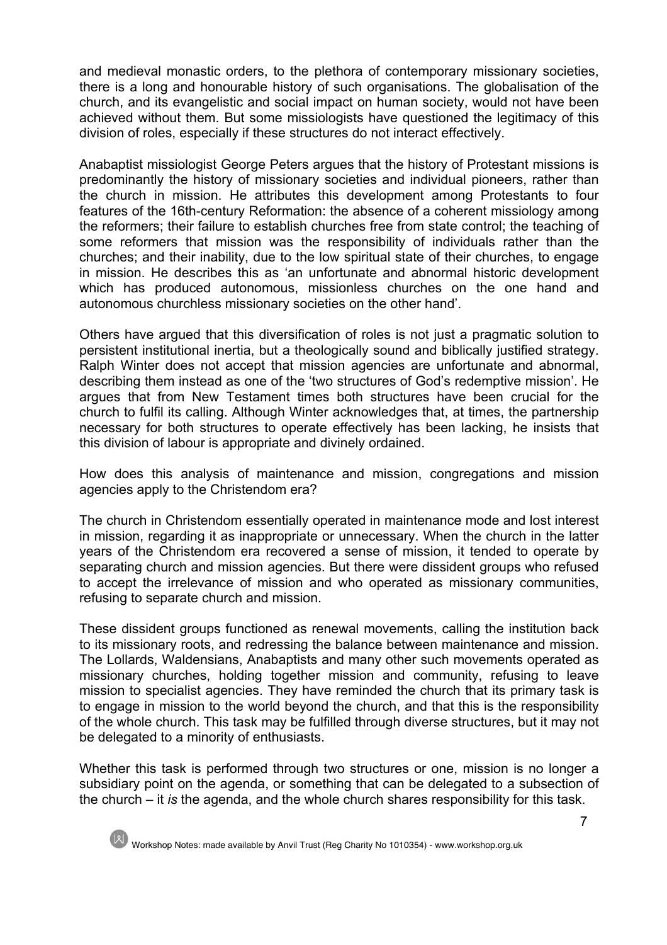and medieval monastic orders, to the plethora of contemporary missionary societies, there is a long and honourable history of such organisations. The globalisation of the church, and its evangelistic and social impact on human society, would not have been achieved without them. But some missiologists have questioned the legitimacy of this division of roles, especially if these structures do not interact effectively.

Anabaptist missiologist George Peters argues that the history of Protestant missions is predominantly the history of missionary societies and individual pioneers, rather than the church in mission. He attributes this development among Protestants to four features of the 16th-century Reformation: the absence of a coherent missiology among the reformers; their failure to establish churches free from state control; the teaching of some reformers that mission was the responsibility of individuals rather than the churches; and their inability, due to the low spiritual state of their churches, to engage in mission. He describes this as 'an unfortunate and abnormal historic development which has produced autonomous, missionless churches on the one hand and autonomous churchless missionary societies on the other hand'.

Others have argued that this diversification of roles is not just a pragmatic solution to persistent institutional inertia, but a theologically sound and biblically justified strategy. Ralph Winter does not accept that mission agencies are unfortunate and abnormal, describing them instead as one of the 'two structures of God's redemptive mission'. He argues that from New Testament times both structures have been crucial for the church to fulfil its calling. Although Winter acknowledges that, at times, the partnership necessary for both structures to operate effectively has been lacking, he insists that this division of labour is appropriate and divinely ordained.

How does this analysis of maintenance and mission, congregations and mission agencies apply to the Christendom era?

The church in Christendom essentially operated in maintenance mode and lost interest in mission, regarding it as inappropriate or unnecessary. When the church in the latter years of the Christendom era recovered a sense of mission, it tended to operate by separating church and mission agencies. But there were dissident groups who refused to accept the irrelevance of mission and who operated as missionary communities, refusing to separate church and mission.

These dissident groups functioned as renewal movements, calling the institution back to its missionary roots, and redressing the balance between maintenance and mission. The Lollards, Waldensians, Anabaptists and many other such movements operated as missionary churches, holding together mission and community, refusing to leave mission to specialist agencies. They have reminded the church that its primary task is to engage in mission to the world beyond the church, and that this is the responsibility of the whole church. This task may be fulfilled through diverse structures, but it may not be delegated to a minority of enthusiasts.

Whether this task is performed through two structures or one, mission is no longer a subsidiary point on the agenda, or something that can be delegated to a subsection of the church – it *is* the agenda, and the whole church shares responsibility for this task.

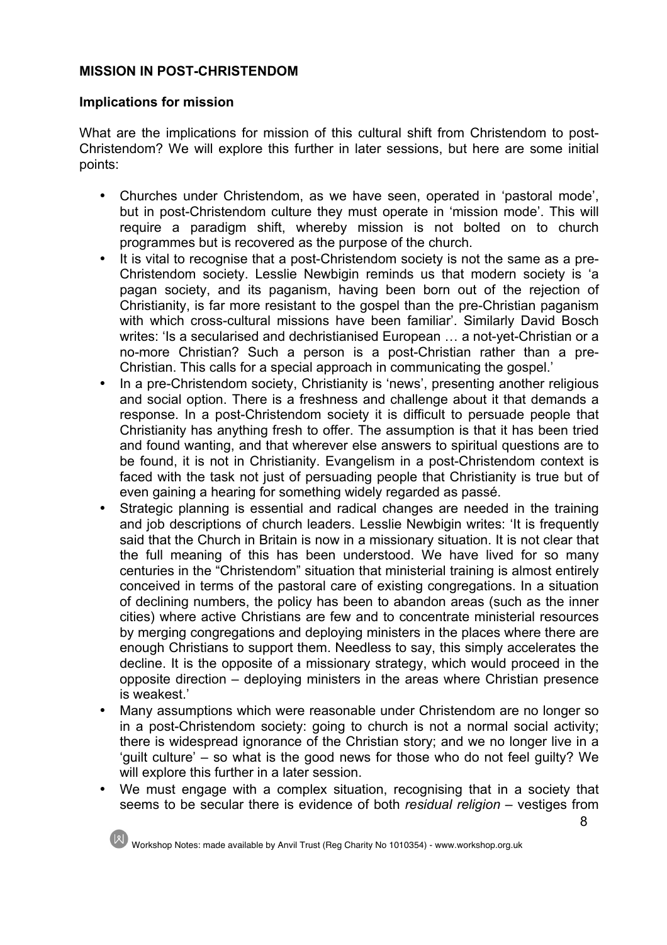# **MISSION IN POST-CHRISTENDOM**

## **Implications for mission**

What are the implications for mission of this cultural shift from Christendom to post-Christendom? We will explore this further in later sessions, but here are some initial points:

- Churches under Christendom, as we have seen, operated in 'pastoral mode', but in post-Christendom culture they must operate in 'mission mode'. This will require a paradigm shift, whereby mission is not bolted on to church programmes but is recovered as the purpose of the church.
- It is vital to recognise that a post-Christendom society is not the same as a pre-Christendom society. Lesslie Newbigin reminds us that modern society is 'a pagan society, and its paganism, having been born out of the rejection of Christianity, is far more resistant to the gospel than the pre-Christian paganism with which cross-cultural missions have been familiar'. Similarly David Bosch writes: 'Is a secularised and dechristianised European … a not-yet-Christian or a no-more Christian? Such a person is a post-Christian rather than a pre-Christian. This calls for a special approach in communicating the gospel.'
- In a pre-Christendom society, Christianity is 'news', presenting another religious and social option. There is a freshness and challenge about it that demands a response. In a post-Christendom society it is difficult to persuade people that Christianity has anything fresh to offer. The assumption is that it has been tried and found wanting, and that wherever else answers to spiritual questions are to be found, it is not in Christianity. Evangelism in a post-Christendom context is faced with the task not just of persuading people that Christianity is true but of even gaining a hearing for something widely regarded as passé.
- Strategic planning is essential and radical changes are needed in the training and job descriptions of church leaders. Lesslie Newbigin writes: 'It is frequently said that the Church in Britain is now in a missionary situation. It is not clear that the full meaning of this has been understood. We have lived for so many centuries in the "Christendom" situation that ministerial training is almost entirely conceived in terms of the pastoral care of existing congregations. In a situation of declining numbers, the policy has been to abandon areas (such as the inner cities) where active Christians are few and to concentrate ministerial resources by merging congregations and deploying ministers in the places where there are enough Christians to support them. Needless to say, this simply accelerates the decline. It is the opposite of a missionary strategy, which would proceed in the opposite direction – deploying ministers in the areas where Christian presence is weakest.'
- Many assumptions which were reasonable under Christendom are no longer so in a post-Christendom society: going to church is not a normal social activity; there is widespread ignorance of the Christian story; and we no longer live in a 'guilt culture' – so what is the good news for those who do not feel guilty? We will explore this further in a later session.
- We must engage with a complex situation, recognising that in a society that seems to be secular there is evidence of both *residual religion* – vestiges from